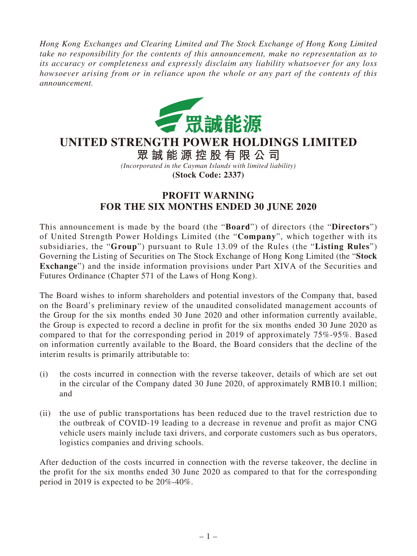*Hong Kong Exchanges and Clearing Limited and The Stock Exchange of Hong Kong Limited take no responsibility for the contents of this announcement, make no representation as to its accuracy or completeness and expressly disclaim any liability whatsoever for any loss howsoever arising from or in reliance upon the whole or any part of the contents of this announcement.*



## **UNITED STRENGTH POWER HOLDINGS LIMITED**

**眾誠能源控股有限公司** *(Incorporated in the Cayman Islands with limited liability)* **(Stock Code: 2337)**

## **PROFIT WARNING FOR THE SIX MONTHS ENDED 30 JUNE 2020**

This announcement is made by the board (the "**Board**") of directors (the "**Directors**") of United Strength Power Holdings Limited (the "**Company**", which together with its subsidiaries, the "**Group**") pursuant to Rule 13.09 of the Rules (the "**Listing Rules**") Governing the Listing of Securities on The Stock Exchange of Hong Kong Limited (the "**Stock Exchange**") and the inside information provisions under Part XIVA of the Securities and Futures Ordinance (Chapter 571 of the Laws of Hong Kong).

The Board wishes to inform shareholders and potential investors of the Company that, based on the Board's preliminary review of the unaudited consolidated management accounts of the Group for the six months ended 30 June 2020 and other information currently available, the Group is expected to record a decline in profit for the six months ended 30 June 2020 as compared to that for the corresponding period in 2019 of approximately 75%-95%. Based on information currently available to the Board, the Board considers that the decline of the interim results is primarily attributable to:

- (i) the costs incurred in connection with the reverse takeover, details of which are set out in the circular of the Company dated 30 June 2020, of approximately RMB10.1 million; and
- (ii) the use of public transportations has been reduced due to the travel restriction due to the outbreak of COVID-19 leading to a decrease in revenue and profit as major CNG vehicle users mainly include taxi drivers, and corporate customers such as bus operators, logistics companies and driving schools.

After deduction of the costs incurred in connection with the reverse takeover, the decline in the profit for the six months ended 30 June 2020 as compared to that for the corresponding period in 2019 is expected to be 20%-40%.